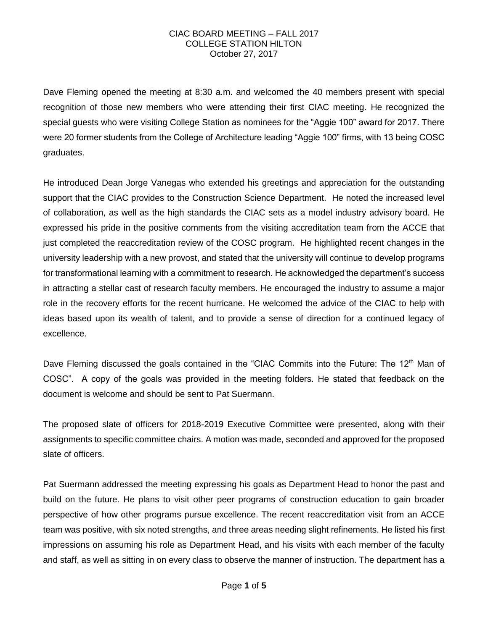Dave Fleming opened the meeting at 8:30 a.m. and welcomed the 40 members present with special recognition of those new members who were attending their first CIAC meeting. He recognized the special guests who were visiting College Station as nominees for the "Aggie 100" award for 2017. There were 20 former students from the College of Architecture leading "Aggie 100" firms, with 13 being COSC graduates.

He introduced Dean Jorge Vanegas who extended his greetings and appreciation for the outstanding support that the CIAC provides to the Construction Science Department. He noted the increased level of collaboration, as well as the high standards the CIAC sets as a model industry advisory board. He expressed his pride in the positive comments from the visiting accreditation team from the ACCE that just completed the reaccreditation review of the COSC program. He highlighted recent changes in the university leadership with a new provost, and stated that the university will continue to develop programs for transformational learning with a commitment to research. He acknowledged the department's success in attracting a stellar cast of research faculty members. He encouraged the industry to assume a major role in the recovery efforts for the recent hurricane. He welcomed the advice of the CIAC to help with ideas based upon its wealth of talent, and to provide a sense of direction for a continued legacy of excellence.

Dave Fleming discussed the goals contained in the "CIAC Commits into the Future: The 12<sup>th</sup> Man of COSC". A copy of the goals was provided in the meeting folders. He stated that feedback on the document is welcome and should be sent to Pat Suermann.

The proposed slate of officers for 2018-2019 Executive Committee were presented, along with their assignments to specific committee chairs. A motion was made, seconded and approved for the proposed slate of officers.

Pat Suermann addressed the meeting expressing his goals as Department Head to honor the past and build on the future. He plans to visit other peer programs of construction education to gain broader perspective of how other programs pursue excellence. The recent reaccreditation visit from an ACCE team was positive, with six noted strengths, and three areas needing slight refinements. He listed his first impressions on assuming his role as Department Head, and his visits with each member of the faculty and staff, as well as sitting in on every class to observe the manner of instruction. The department has a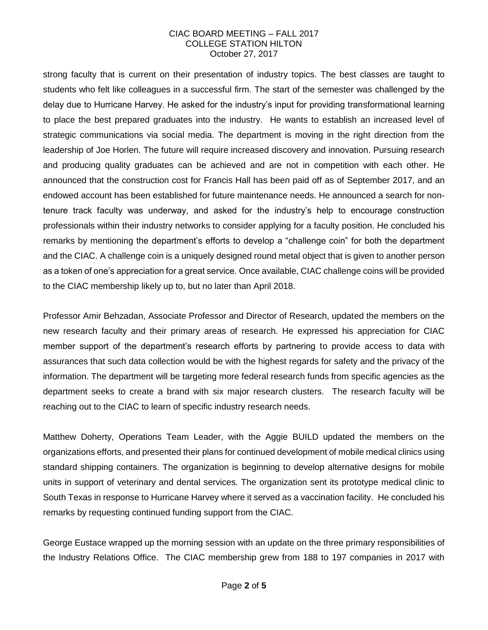strong faculty that is current on their presentation of industry topics. The best classes are taught to students who felt like colleagues in a successful firm. The start of the semester was challenged by the delay due to Hurricane Harvey. He asked for the industry's input for providing transformational learning to place the best prepared graduates into the industry. He wants to establish an increased level of strategic communications via social media. The department is moving in the right direction from the leadership of Joe Horlen. The future will require increased discovery and innovation. Pursuing research and producing quality graduates can be achieved and are not in competition with each other. He announced that the construction cost for Francis Hall has been paid off as of September 2017, and an endowed account has been established for future maintenance needs. He announced a search for nontenure track faculty was underway, and asked for the industry's help to encourage construction professionals within their industry networks to consider applying for a faculty position. He concluded his remarks by mentioning the department's efforts to develop a "challenge coin" for both the department and the CIAC. A challenge coin is a uniquely designed round metal object that is given to another person as a token of one's appreciation for a great service. Once available, CIAC challenge coins will be provided to the CIAC membership likely up to, but no later than April 2018.

Professor Amir Behzadan, Associate Professor and Director of Research, updated the members on the new research faculty and their primary areas of research. He expressed his appreciation for CIAC member support of the department's research efforts by partnering to provide access to data with assurances that such data collection would be with the highest regards for safety and the privacy of the information. The department will be targeting more federal research funds from specific agencies as the department seeks to create a brand with six major research clusters. The research faculty will be reaching out to the CIAC to learn of specific industry research needs.

Matthew Doherty, Operations Team Leader, with the Aggie BUILD updated the members on the organizations efforts, and presented their plans for continued development of mobile medical clinics using standard shipping containers. The organization is beginning to develop alternative designs for mobile units in support of veterinary and dental services. The organization sent its prototype medical clinic to South Texas in response to Hurricane Harvey where it served as a vaccination facility. He concluded his remarks by requesting continued funding support from the CIAC.

George Eustace wrapped up the morning session with an update on the three primary responsibilities of the Industry Relations Office. The CIAC membership grew from 188 to 197 companies in 2017 with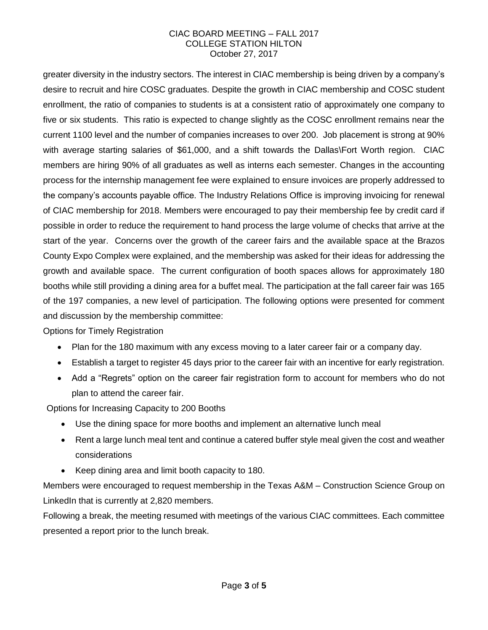greater diversity in the industry sectors. The interest in CIAC membership is being driven by a company's desire to recruit and hire COSC graduates. Despite the growth in CIAC membership and COSC student enrollment, the ratio of companies to students is at a consistent ratio of approximately one company to five or six students. This ratio is expected to change slightly as the COSC enrollment remains near the current 1100 level and the number of companies increases to over 200. Job placement is strong at 90% with average starting salaries of \$61,000, and a shift towards the Dallas\Fort Worth region. CIAC members are hiring 90% of all graduates as well as interns each semester. Changes in the accounting process for the internship management fee were explained to ensure invoices are properly addressed to the company's accounts payable office. The Industry Relations Office is improving invoicing for renewal of CIAC membership for 2018. Members were encouraged to pay their membership fee by credit card if possible in order to reduce the requirement to hand process the large volume of checks that arrive at the start of the year. Concerns over the growth of the career fairs and the available space at the Brazos County Expo Complex were explained, and the membership was asked for their ideas for addressing the growth and available space. The current configuration of booth spaces allows for approximately 180 booths while still providing a dining area for a buffet meal. The participation at the fall career fair was 165 of the 197 companies, a new level of participation. The following options were presented for comment and discussion by the membership committee:

Options for Timely Registration

- Plan for the 180 maximum with any excess moving to a later career fair or a company day.
- Establish a target to register 45 days prior to the career fair with an incentive for early registration.
- Add a "Regrets" option on the career fair registration form to account for members who do not plan to attend the career fair.

Options for Increasing Capacity to 200 Booths

- Use the dining space for more booths and implement an alternative lunch meal
- Rent a large lunch meal tent and continue a catered buffer style meal given the cost and weather considerations
- Keep dining area and limit booth capacity to 180.

Members were encouraged to request membership in the Texas A&M – Construction Science Group on LinkedIn that is currently at 2,820 members.

Following a break, the meeting resumed with meetings of the various CIAC committees. Each committee presented a report prior to the lunch break.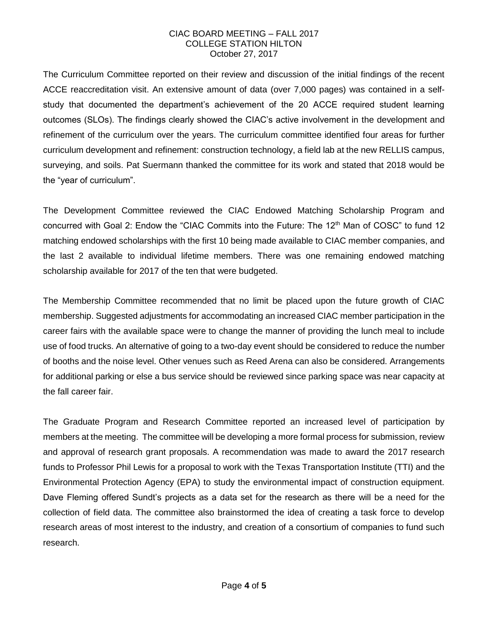The Curriculum Committee reported on their review and discussion of the initial findings of the recent ACCE reaccreditation visit. An extensive amount of data (over 7,000 pages) was contained in a selfstudy that documented the department's achievement of the 20 ACCE required student learning outcomes (SLOs). The findings clearly showed the CIAC's active involvement in the development and refinement of the curriculum over the years. The curriculum committee identified four areas for further curriculum development and refinement: construction technology, a field lab at the new RELLIS campus, surveying, and soils. Pat Suermann thanked the committee for its work and stated that 2018 would be the "year of curriculum".

The Development Committee reviewed the CIAC Endowed Matching Scholarship Program and concurred with Goal 2: Endow the "CIAC Commits into the Future: The 12<sup>th</sup> Man of COSC" to fund 12 matching endowed scholarships with the first 10 being made available to CIAC member companies, and the last 2 available to individual lifetime members. There was one remaining endowed matching scholarship available for 2017 of the ten that were budgeted.

The Membership Committee recommended that no limit be placed upon the future growth of CIAC membership. Suggested adjustments for accommodating an increased CIAC member participation in the career fairs with the available space were to change the manner of providing the lunch meal to include use of food trucks. An alternative of going to a two-day event should be considered to reduce the number of booths and the noise level. Other venues such as Reed Arena can also be considered. Arrangements for additional parking or else a bus service should be reviewed since parking space was near capacity at the fall career fair.

The Graduate Program and Research Committee reported an increased level of participation by members at the meeting. The committee will be developing a more formal process for submission, review and approval of research grant proposals. A recommendation was made to award the 2017 research funds to Professor Phil Lewis for a proposal to work with the Texas Transportation Institute (TTI) and the Environmental Protection Agency (EPA) to study the environmental impact of construction equipment. Dave Fleming offered Sundt's projects as a data set for the research as there will be a need for the collection of field data. The committee also brainstormed the idea of creating a task force to develop research areas of most interest to the industry, and creation of a consortium of companies to fund such research.